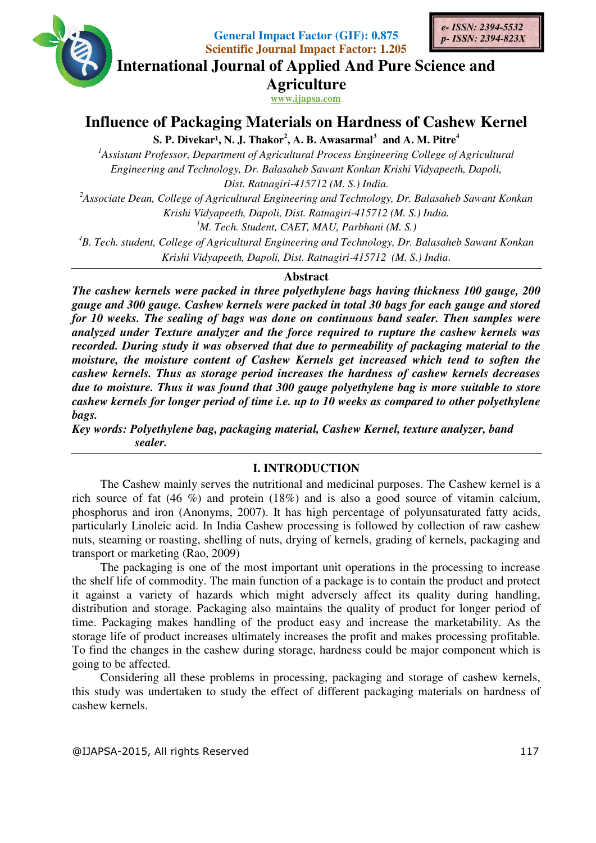

**General Impact Factor (GIF): 0.875 Scientific Journal Impact Factor: 1.205** 



**International Journal of Applied And Pure Science and International Journal Science Agriculture**

**www.ijapsa.com** 

# **Influence of Packaging Material Packaging Materials on Hardness of Cashew Kernel s of Cashew**

 $\mathbf{S}.$  **P.** Divekar<sup>1</sup>, N. J. Thakor<sup>2</sup>, A. B. Awasarmal<sup>3</sup> and A. M. Pitre<sup>4</sup>

<sup>1</sup>Assistant Professor, Department of Agricultural Process Engineering College of Agricultural *Engineering and Technology, Dr. Balasaheb Sawant Konkan Krishi Vidyapeeth, Dapoli,* 

*Dist. Ratnagiri Ratnagiri-415712 (M. S.) India.* 

<sup>2</sup> Associate Dean, College of Agricultural Engineering and Technology, Dr. Balasaheb Sawant Konkan *Krishi Vidyapeeth, Dapoli, Dist. Ratnagiri Krishi Vidyapeeth, Dapoli, Dist. Ratnagiri-415712 (M. S.) India. 4Associate Dean, College of Agricultural Engineering and Technology, Dr. Balasaheb Sawant Konkan <br><i>Krishi Vidyapeeth, Dapoli, Dist. Ratnagiri-415712 (M. S.) India.*<br><sup>3</sup>*M. Tech. Student, CAET, MAU, Parbhani (M. S.)*<br><sup>4</sup>

*<sup>3</sup>M. Tech. Student, CAET, MAU, Parbhani (M. S.)*

*<sup>5</sup>M. Tech. Student, CAET, MAU, Parbhani (M. S.)*<br>College of Agricultural Engineering and Technology, Dr. Balasaha<br>Krishi Vidyapeeth, Dapoli, Dist. Ratnagiri-415712 (M. S.) India.

### **Abstract**

*The cashew kernels were packed in three polyethylene bags having thickness 100 gauge, 200 gauge and 300 gauge. Cashew kernels were packed in total 30 bags for in polyethylene 100 Cashew packed in each gauge and stored for 10 weeks. The sealing of bags was done on continuous band sealer. Then samples were analyzed under Texture analyzer and the force required to rupture the cashew kernels was recorded. During study it was observed that due to perme moisture, the moisture content of Cashew Kernels get increased which tend to soften the cashew kernels. Thus as storage period increases the hardness of cashew kernels decreases due to moisture. Thus it was found that 3 cashew kernels for longer period of time i.e. up to 10 weeks as compared to other polyethylene bags.*  cashew kernels for longer period of time i.e. up to 10 weeks as compared to other polyethy<br>bags.<br>Key words: Polyethylene bag, packaging material, Cashew Kernel, texture analyzer, band eks. The sealing of bags was done on continuous band sealer. Then samples were<br>under Texture analyzer and the force required to rupture the cashew kernels was<br>During study it was observed that due to permeability of packag moisture, the moisture content of Cashew Kernels get increased which tend to soften the<br>cashew kernels. Thus as storage period increases the hardness of cashew kernels decreases<br>due to moisture. Thus it was found that 300 *ernels were packed in total 30 bags for each gauge and sto*<br>*gs was done on continuous band sealer. Then samples w*<br>*bserved that due to permeability of packaging material to*<br>*of Cashew Kernels get increased which tend t* 

 *sealer.* 

#### **I. INTRODUCTION**

The Cashew mainly serves the nutritional and medicinal purposes. The Cashew kernel is a rich source of fat (46 %) and protein (18%) and is also a good source of vitamin calcium, phosphorus and iron (Anonyms, 2007). It has high percentage of polyunsaturated fatty acids, particularly Linoleic acid. In India Cashew processing is followed by collection of raw cashew nuts, steaming or roasting, shelling of nuts, drying of kernels, grading of kernels, packagi transport or marketing (Rao, 2009) Cashew mainly serves the nutritional and medicinal purposes. The Cashew kernel is a e of fat  $(46 \%)$  and protein  $(18\%)$  and is also a good source of vitamin calcium, s and iron (Anonyms, 2007). It has high percentage of ed fatty acids,<br>of raw cashew<br>packaging and

The packaging is one of the most important unit operations in the processing to increase the shelf life of commodity. The main function of a package is to contain the product and protect it against a variety of hazards which might adversely affect its quality during handling, distribution and storage. Packaging also maintains the quality of product for longer period of time. Packaging makes handling of the product easy and increase the marketability. As the storage life of product increases ultimately increases the profit and makes processing profitable. To find the changes in the cashew during storage, hardness could be major component which is going to be affected. particularly Linoleic acid. In India Cashew processing is followed by collection of raw cashew<br>nuts, steaming or roasting, shelling of nuts, drying of kernels, grading of kernels, packaging and<br>transport or marketing (Rao,

Considering all these problems in processing, packaging and storage of this study was undertaken to study the effect of different packaging materials on hardness of cashew kernels.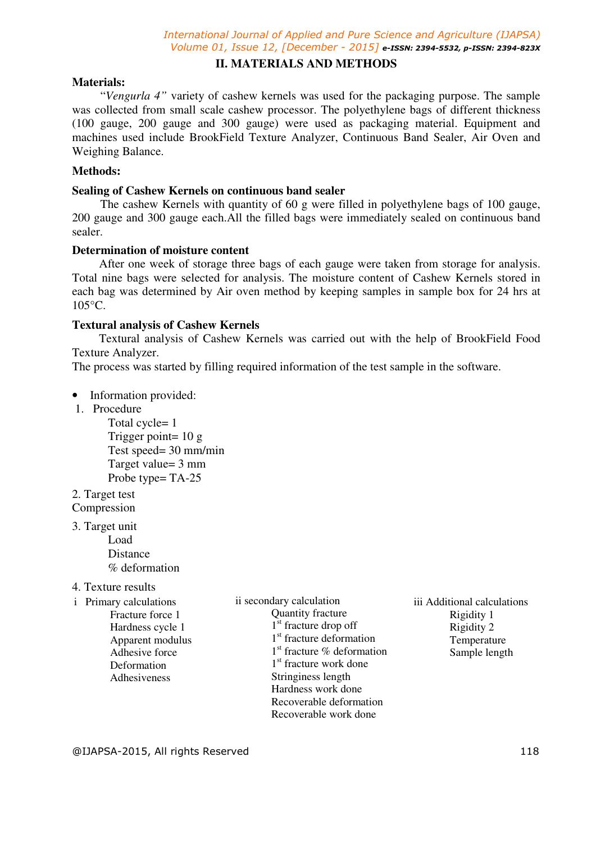## **II. MATERIALS AND METHODS**

## **Materials:**

"*Vengurla 4"* variety of cashew kernels was used for the packaging purpose. The sample was collected from small scale cashew processor. The polyethylene bags of different thickness (100 gauge, 200 gauge and 300 gauge) were used as packaging material. Equipment and machines used include BrookField Texture Analyzer, Continuous Band Sealer, Air Oven and Weighing Balance.

## **Methods:**

## **Sealing of Cashew Kernels on continuous band sealer**

The cashew Kernels with quantity of 60 g were filled in polyethylene bags of 100 gauge, 200 gauge and 300 gauge each.All the filled bags were immediately sealed on continuous band sealer.

### **Determination of moisture content**

 After one week of storage three bags of each gauge were taken from storage for analysis. Total nine bags were selected for analysis. The moisture content of Cashew Kernels stored in each bag was determined by Air oven method by keeping samples in sample box for 24 hrs at 105°C.

### **Textural analysis of Cashew Kernels**

 Textural analysis of Cashew Kernels was carried out with the help of BrookField Food Texture Analyzer.

The process was started by filling required information of the test sample in the software.

- Information provided:
- 1. Procedure

Total cycle= 1 Trigger point= 10 g Test speed= 30 mm/min Target value= 3 mm Probe type= TA-25

2. Target test

Compression

3. Target unit

Load Distance % deformation

#### 4. Texture results

- i Primary calculations
	- Fracture force 1 Hardness cycle 1 Apparent modulus Adhesive force **Deformation** Adhesiveness
- ii secondary calculation Quantity fracture 1<sup>st</sup> fracture drop off 1<sup>st</sup> fracture deformation 1 st fracture % deformation 1 st fracture work done Stringiness length Hardness work done Recoverable deformation Recoverable work done
- iii Additional calculations Rigidity 1 Rigidity 2 Temperature Sample length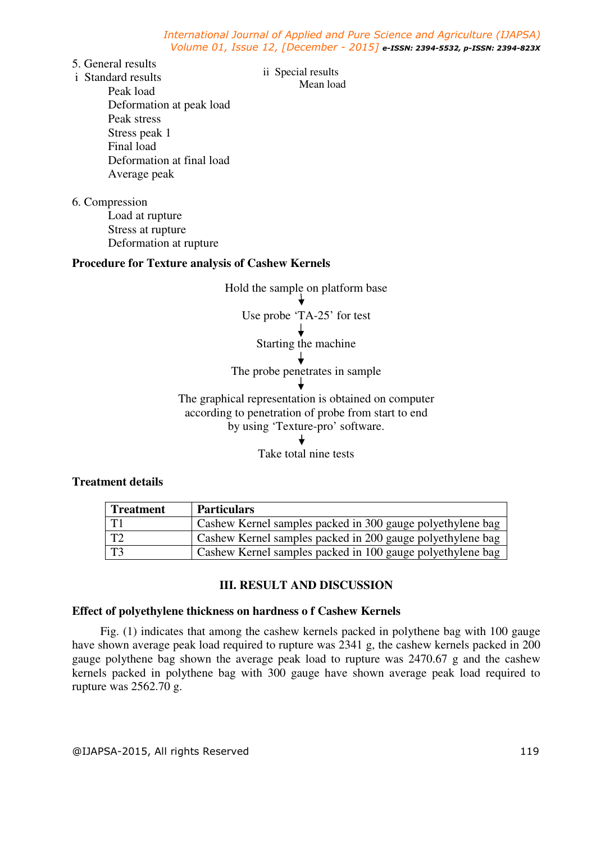- 5. General results
- i Standard results

ii Special results Mean load

Peak load Deformation at peak load Peak stress Stress peak 1 Final load Deformation at final load Average peak

6. Compression

Load at rupture Stress at rupture Deformation at rupture

## **Procedure for Texture analysis of Cashew Kernels**



## **Treatment details**

| <b>Treatment</b> | <b>Particulars</b>                                         |
|------------------|------------------------------------------------------------|
| T1               | Cashew Kernel samples packed in 300 gauge polyethylene bag |
| T2               | Cashew Kernel samples packed in 200 gauge polyethylene bag |
| $\overline{13}$  | Cashew Kernel samples packed in 100 gauge polyethylene bag |

## **III. RESULT AND DISCUSSION**

### **Effect of polyethylene thickness on hardness o f Cashew Kernels**

Fig. (1) indicates that among the cashew kernels packed in polythene bag with 100 gauge have shown average peak load required to rupture was 2341 g, the cashew kernels packed in 200 gauge polythene bag shown the average peak load to rupture was 2470.67 g and the cashew kernels packed in polythene bag with 300 gauge have shown average peak load required to rupture was 2562.70 g.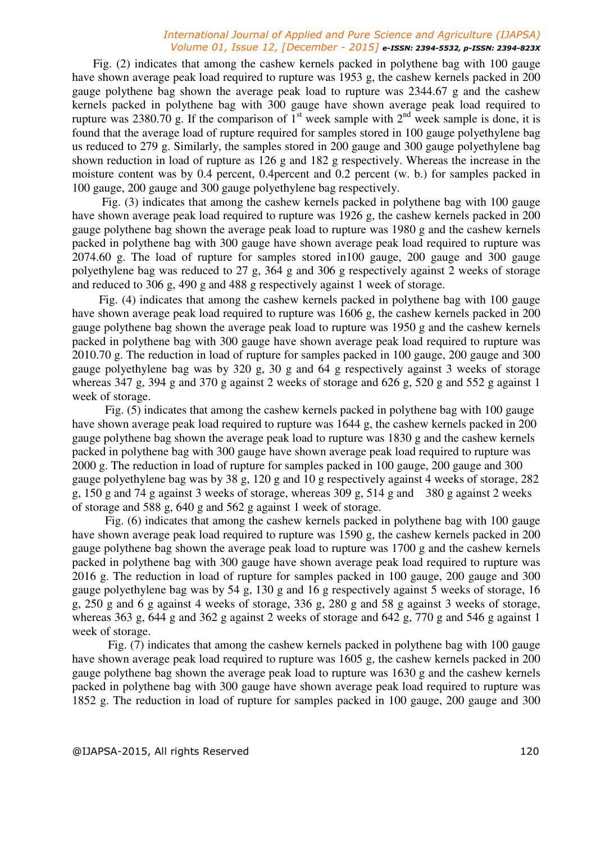Fig. (2) indicates that among the cashew kernels packed in polythene bag with 100 gauge have shown average peak load required to rupture was 1953 g, the cashew kernels packed in 200 gauge polythene bag shown the average peak load to rupture was 2344.67 g and the cashew kernels packed in polythene bag with 300 gauge have shown average peak load required to rupture was 2380.70 g. If the comparison of  $1<sup>st</sup>$  week sample with  $2<sup>nd</sup>$  week sample is done, it is found that the average load of rupture required for samples stored in 100 gauge polyethylene bag us reduced to 279 g. Similarly, the samples stored in 200 gauge and 300 gauge polyethylene bag shown reduction in load of rupture as 126 g and 182 g respectively. Whereas the increase in the moisture content was by 0.4 percent, 0.4percent and 0.2 percent (w. b.) for samples packed in 100 gauge, 200 gauge and 300 gauge polyethylene bag respectively.

 Fig. (3) indicates that among the cashew kernels packed in polythene bag with 100 gauge have shown average peak load required to rupture was 1926 g, the cashew kernels packed in 200 gauge polythene bag shown the average peak load to rupture was 1980 g and the cashew kernels packed in polythene bag with 300 gauge have shown average peak load required to rupture was 2074.60 g. The load of rupture for samples stored in100 gauge, 200 gauge and 300 gauge polyethylene bag was reduced to 27 g, 364 g and 306 g respectively against 2 weeks of storage and reduced to 306 g, 490 g and 488 g respectively against 1 week of storage.

 Fig. (4) indicates that among the cashew kernels packed in polythene bag with 100 gauge have shown average peak load required to rupture was 1606 g, the cashew kernels packed in 200 gauge polythene bag shown the average peak load to rupture was 1950 g and the cashew kernels packed in polythene bag with 300 gauge have shown average peak load required to rupture was 2010.70 g. The reduction in load of rupture for samples packed in 100 gauge, 200 gauge and 300 gauge polyethylene bag was by 320 g, 30 g and 64 g respectively against 3 weeks of storage whereas 347 g, 394 g and 370 g against 2 weeks of storage and 626 g, 520 g and 552 g against 1 week of storage.

 Fig. (5) indicates that among the cashew kernels packed in polythene bag with 100 gauge have shown average peak load required to rupture was 1644 g, the cashew kernels packed in 200 gauge polythene bag shown the average peak load to rupture was 1830 g and the cashew kernels packed in polythene bag with 300 gauge have shown average peak load required to rupture was 2000 g. The reduction in load of rupture for samples packed in 100 gauge, 200 gauge and 300 gauge polyethylene bag was by 38 g, 120 g and 10 g respectively against 4 weeks of storage, 282 g, 150 g and 74 g against 3 weeks of storage, whereas 309 g, 514 g and 380 g against 2 weeks of storage and 588 g, 640 g and 562 g against 1 week of storage.

 Fig. (6) indicates that among the cashew kernels packed in polythene bag with 100 gauge have shown average peak load required to rupture was 1590 g, the cashew kernels packed in 200 gauge polythene bag shown the average peak load to rupture was 1700 g and the cashew kernels packed in polythene bag with 300 gauge have shown average peak load required to rupture was 2016 g. The reduction in load of rupture for samples packed in 100 gauge, 200 gauge and 300 gauge polyethylene bag was by 54 g, 130 g and 16 g respectively against 5 weeks of storage, 16 g, 250 g and 6 g against 4 weeks of storage, 336 g, 280 g and 58 g against 3 weeks of storage, whereas 363 g, 644 g and 362 g against 2 weeks of storage and 642 g, 770 g and 546 g against 1 week of storage.

 Fig. (7) indicates that among the cashew kernels packed in polythene bag with 100 gauge have shown average peak load required to rupture was 1605 g, the cashew kernels packed in 200 gauge polythene bag shown the average peak load to rupture was 1630 g and the cashew kernels packed in polythene bag with 300 gauge have shown average peak load required to rupture was 1852 g. The reduction in load of rupture for samples packed in 100 gauge, 200 gauge and 300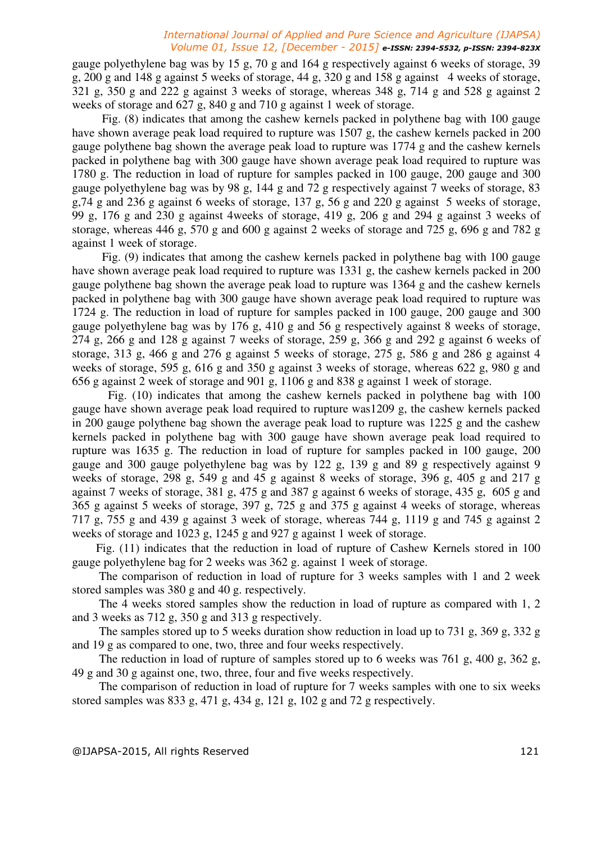gauge polyethylene bag was by 15 g, 70 g and 164 g respectively against 6 weeks of storage, 39 g, 200 g and 148 g against 5 weeks of storage, 44 g, 320 g and 158 g against 4 weeks of storage, 321 g, 350 g and 222 g against 3 weeks of storage, whereas 348 g, 714 g and 528 g against 2 weeks of storage and 627 g, 840 g and 710 g against 1 week of storage.

 Fig. (8) indicates that among the cashew kernels packed in polythene bag with 100 gauge have shown average peak load required to rupture was 1507 g, the cashew kernels packed in 200 gauge polythene bag shown the average peak load to rupture was 1774 g and the cashew kernels packed in polythene bag with 300 gauge have shown average peak load required to rupture was 1780 g. The reduction in load of rupture for samples packed in 100 gauge, 200 gauge and 300 gauge polyethylene bag was by 98 g, 144 g and 72 g respectively against 7 weeks of storage, 83 g,74 g and 236 g against 6 weeks of storage, 137 g, 56 g and 220 g against 5 weeks of storage, 99 g, 176 g and 230 g against 4weeks of storage, 419 g, 206 g and 294 g against 3 weeks of storage, whereas 446 g, 570 g and 600 g against 2 weeks of storage and 725 g, 696 g and 782 g against 1 week of storage.

 Fig. (9) indicates that among the cashew kernels packed in polythene bag with 100 gauge have shown average peak load required to rupture was 1331 g, the cashew kernels packed in 200 gauge polythene bag shown the average peak load to rupture was 1364 g and the cashew kernels packed in polythene bag with 300 gauge have shown average peak load required to rupture was 1724 g. The reduction in load of rupture for samples packed in 100 gauge, 200 gauge and 300 gauge polyethylene bag was by 176 g, 410 g and 56 g respectively against 8 weeks of storage, 274 g, 266 g and 128 g against 7 weeks of storage, 259 g, 366 g and 292 g against 6 weeks of storage, 313 g, 466 g and 276 g against 5 weeks of storage, 275 g, 586 g and 286 g against 4 weeks of storage, 595 g, 616 g and 350 g against 3 weeks of storage, whereas 622 g, 980 g and 656 g against 2 week of storage and 901 g, 1106 g and 838 g against 1 week of storage.

 Fig. (10) indicates that among the cashew kernels packed in polythene bag with 100 gauge have shown average peak load required to rupture was1209 g, the cashew kernels packed in 200 gauge polythene bag shown the average peak load to rupture was 1225 g and the cashew kernels packed in polythene bag with 300 gauge have shown average peak load required to rupture was 1635 g. The reduction in load of rupture for samples packed in 100 gauge, 200 gauge and 300 gauge polyethylene bag was by 122 g, 139 g and 89 g respectively against 9 weeks of storage, 298 g, 549 g and 45 g against 8 weeks of storage, 396 g, 405 g and 217 g against 7 weeks of storage, 381 g, 475 g and 387 g against 6 weeks of storage, 435 g, 605 g and 365 g against 5 weeks of storage, 397 g, 725 g and 375 g against 4 weeks of storage, whereas 717 g, 755 g and 439 g against 3 week of storage, whereas 744 g, 1119 g and 745 g against 2 weeks of storage and 1023 g, 1245 g and 927 g against 1 week of storage.

 Fig. (11) indicates that the reduction in load of rupture of Cashew Kernels stored in 100 gauge polyethylene bag for 2 weeks was 362 g. against 1 week of storage.

 The comparison of reduction in load of rupture for 3 weeks samples with 1 and 2 week stored samples was 380 g and 40 g. respectively.

 The 4 weeks stored samples show the reduction in load of rupture as compared with 1, 2 and 3 weeks as 712 g, 350 g and 313 g respectively.

 The samples stored up to 5 weeks duration show reduction in load up to 731 g, 369 g, 332 g and 19 g as compared to one, two, three and four weeks respectively.

 The reduction in load of rupture of samples stored up to 6 weeks was 761 g, 400 g, 362 g, 49 g and 30 g against one, two, three, four and five weeks respectively.

 The comparison of reduction in load of rupture for 7 weeks samples with one to six weeks stored samples was 833 g, 471 g, 434 g, 121 g, 102 g and 72 g respectively.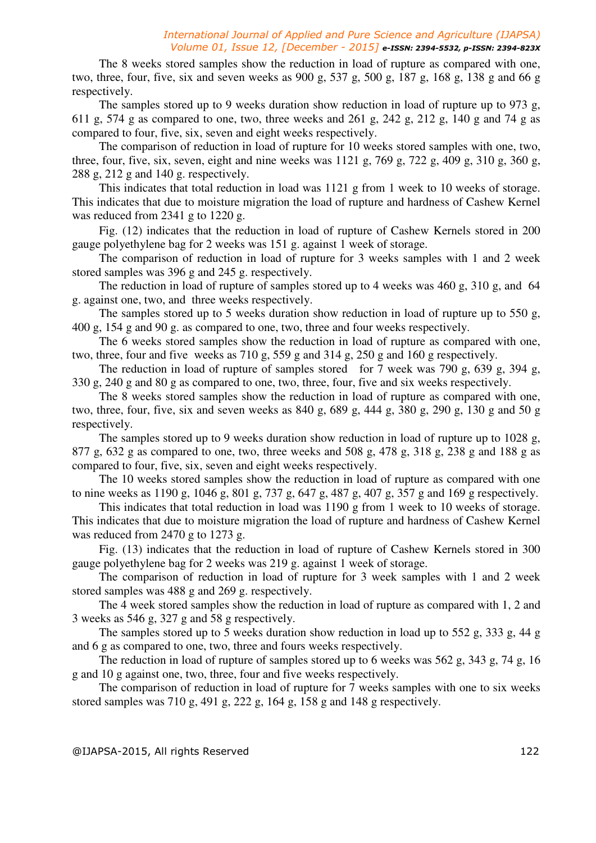The 8 weeks stored samples show the reduction in load of rupture as compared with one, two, three, four, five, six and seven weeks as 900 g, 537 g, 500 g, 187 g, 168 g, 138 g and 66 g respectively.

 The samples stored up to 9 weeks duration show reduction in load of rupture up to 973 g, 611 g, 574 g as compared to one, two, three weeks and 261 g, 242 g, 212 g, 140 g and 74 g as compared to four, five, six, seven and eight weeks respectively.

 The comparison of reduction in load of rupture for 10 weeks stored samples with one, two, three, four, five, six, seven, eight and nine weeks was  $1121$  g,  $769$  g,  $722$  g,  $409$  g,  $310$  g,  $360$  g, 288 g, 212 g and 140 g. respectively.

 This indicates that total reduction in load was 1121 g from 1 week to 10 weeks of storage. This indicates that due to moisture migration the load of rupture and hardness of Cashew Kernel was reduced from 2341 g to 1220 g.

 Fig. (12) indicates that the reduction in load of rupture of Cashew Kernels stored in 200 gauge polyethylene bag for 2 weeks was 151 g. against 1 week of storage.

 The comparison of reduction in load of rupture for 3 weeks samples with 1 and 2 week stored samples was 396 g and 245 g. respectively.

 The reduction in load of rupture of samples stored up to 4 weeks was 460 g, 310 g, and 64 g. against one, two, and three weeks respectively.

The samples stored up to 5 weeks duration show reduction in load of rupture up to 550 g, 400 g, 154 g and 90 g. as compared to one, two, three and four weeks respectively.

 The 6 weeks stored samples show the reduction in load of rupture as compared with one, two, three, four and five weeks as 710 g, 559 g and 314 g, 250 g and 160 g respectively.

The reduction in load of rupture of samples stored for 7 week was 790 g, 639 g, 394 g, 330 g, 240 g and 80 g as compared to one, two, three, four, five and six weeks respectively.

 The 8 weeks stored samples show the reduction in load of rupture as compared with one, two, three, four, five, six and seven weeks as 840 g, 689 g, 444 g, 380 g, 290 g, 130 g and 50 g respectively.

 The samples stored up to 9 weeks duration show reduction in load of rupture up to 1028 g, 877 g, 632 g as compared to one, two, three weeks and 508 g, 478 g, 318 g, 238 g and 188 g as compared to four, five, six, seven and eight weeks respectively.

 The 10 weeks stored samples show the reduction in load of rupture as compared with one to nine weeks as 1190 g, 1046 g, 801 g, 737 g, 647 g, 487 g, 407 g, 357 g and 169 g respectively.

 This indicates that total reduction in load was 1190 g from 1 week to 10 weeks of storage. This indicates that due to moisture migration the load of rupture and hardness of Cashew Kernel was reduced from 2470 g to 1273 g.

 Fig. (13) indicates that the reduction in load of rupture of Cashew Kernels stored in 300 gauge polyethylene bag for 2 weeks was 219 g. against 1 week of storage.

 The comparison of reduction in load of rupture for 3 week samples with 1 and 2 week stored samples was 488 g and 269 g. respectively.

 The 4 week stored samples show the reduction in load of rupture as compared with 1, 2 and 3 weeks as 546 g, 327 g and 58 g respectively.

 The samples stored up to 5 weeks duration show reduction in load up to 552 g, 333 g, 44 g and 6 g as compared to one, two, three and fours weeks respectively.

 The reduction in load of rupture of samples stored up to 6 weeks was 562 g, 343 g, 74 g, 16 g and 10 g against one, two, three, four and five weeks respectively.

 The comparison of reduction in load of rupture for 7 weeks samples with one to six weeks stored samples was 710 g, 491 g, 222 g, 164 g, 158 g and 148 g respectively.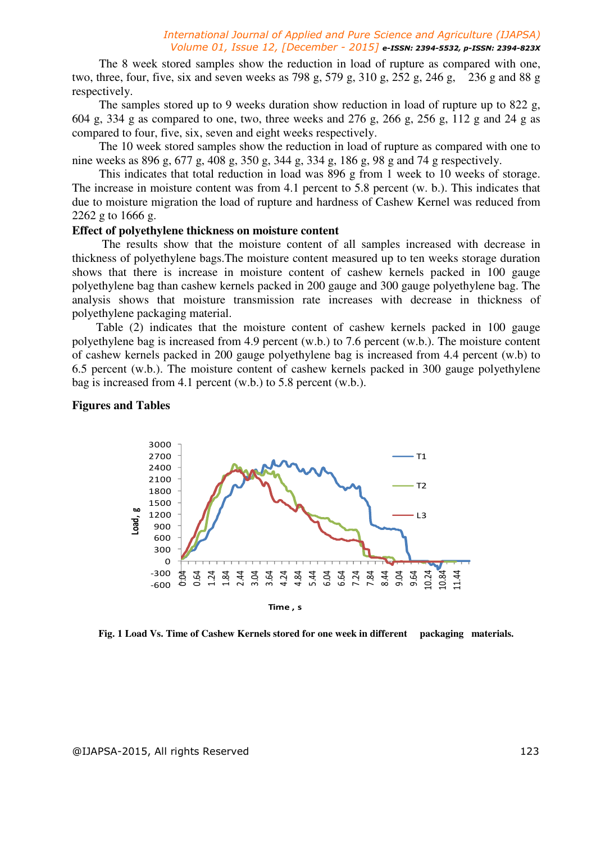The 8 week stored samples show the reduction in load of rupture as compared with one, two, three, four, five, six and seven weeks as 798 g, 579 g, 310 g, 252 g, 246 g, 236 g and 88 g respectively.

 The samples stored up to 9 weeks duration show reduction in load of rupture up to 822 g, 604 g, 334 g as compared to one, two, three weeks and 276 g, 266 g, 256 g, 112 g and 24 g as compared to four, five, six, seven and eight weeks respectively.

 The 10 week stored samples show the reduction in load of rupture as compared with one to nine weeks as 896 g, 677 g, 408 g, 350 g, 344 g, 334 g, 186 g, 98 g and 74 g respectively.

 This indicates that total reduction in load was 896 g from 1 week to 10 weeks of storage. The increase in moisture content was from 4.1 percent to 5.8 percent (w. b.). This indicates that due to moisture migration the load of rupture and hardness of Cashew Kernel was reduced from 2262 g to 1666 g.

#### **Effect of polyethylene thickness on moisture content**

 The results show that the moisture content of all samples increased with decrease in thickness of polyethylene bags.The moisture content measured up to ten weeks storage duration shows that there is increase in moisture content of cashew kernels packed in 100 gauge polyethylene bag than cashew kernels packed in 200 gauge and 300 gauge polyethylene bag. The analysis shows that moisture transmission rate increases with decrease in thickness of polyethylene packaging material.

 Table (2) indicates that the moisture content of cashew kernels packed in 100 gauge polyethylene bag is increased from 4.9 percent (w.b.) to 7.6 percent (w.b.). The moisture content of cashew kernels packed in 200 gauge polyethylene bag is increased from 4.4 percent (w.b) to 6.5 percent (w.b.). The moisture content of cashew kernels packed in 300 gauge polyethylene bag is increased from 4.1 percent (w.b.) to 5.8 percent (w.b.).

#### **Figures and Tables**



**Fig. 1 Load Vs. Time of Cashew Kernels stored for one week in different packaging materials.**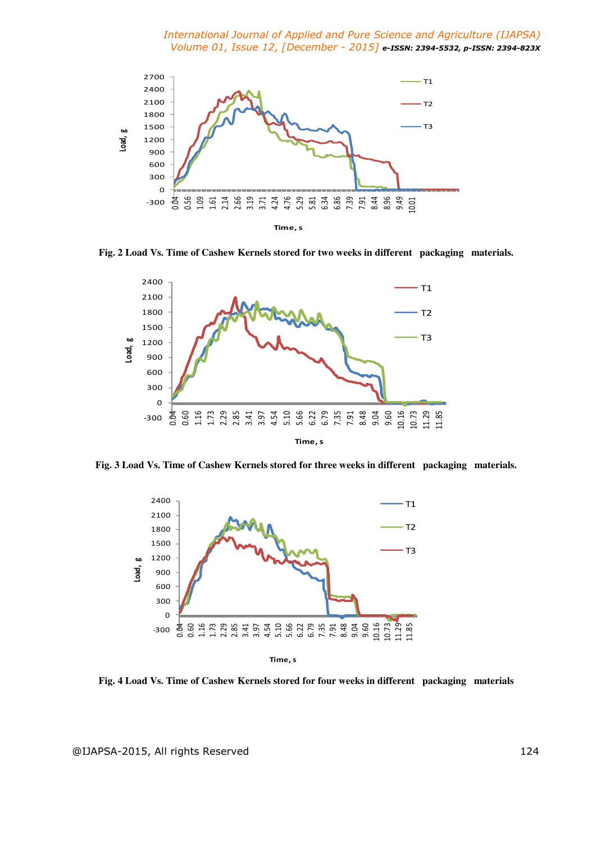

**Fig. 2 Load Vs. Time of Cashew Kernels stored for two weeks in different packaging materials.** 



**Fig. 3 Load Vs. Time of Cashew Kernels stored for three weeks in different packaging materials.** 



**Fig. 4 Load Vs. Time of Cashew Kernels stored for four weeks in different packaging materials**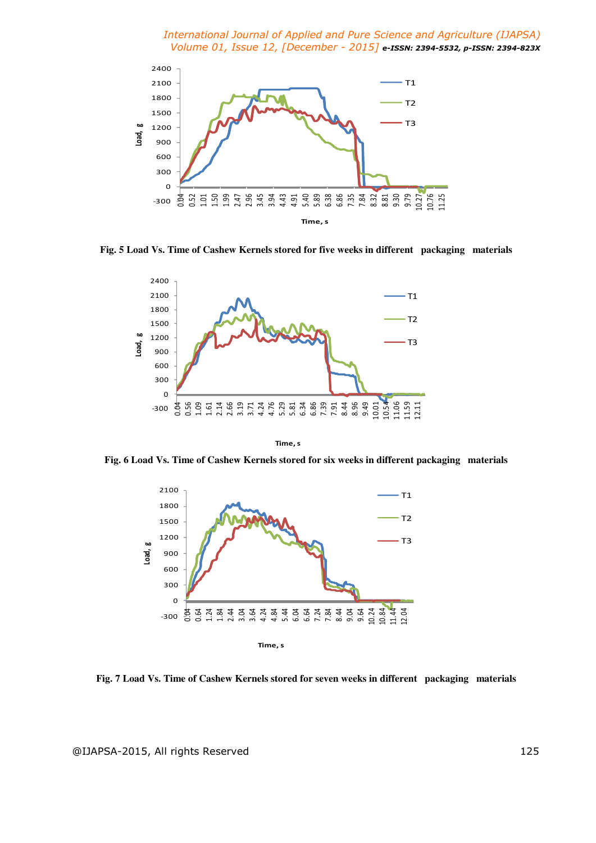

**Fig. 5 Load Vs. Time of Cashew Kernels stored for five weeks in different packaging materials** 



**Time, s**

**Fig. 6 Load Vs. Time of Cashew Kernels stored for six weeks in different packaging materials** 



**Fig. 7 Load Vs. Time of Cashew Kernels stored for seven weeks in different packaging materials**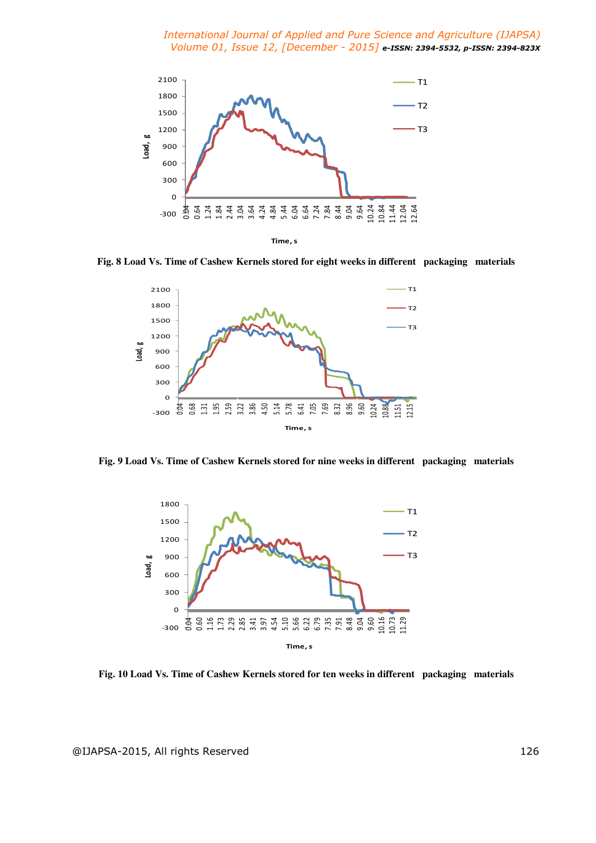

**Fig. 8 Load Vs. Time of Cashew Kernels stored for eight weeks in different packaging materials** 



**Fig. 9 Load Vs. Time of Cashew Kernels stored for nine weeks in different packaging materials** 



**Fig. 10 Load Vs. Time of Cashew Kernels stored for ten weeks in different packaging materials**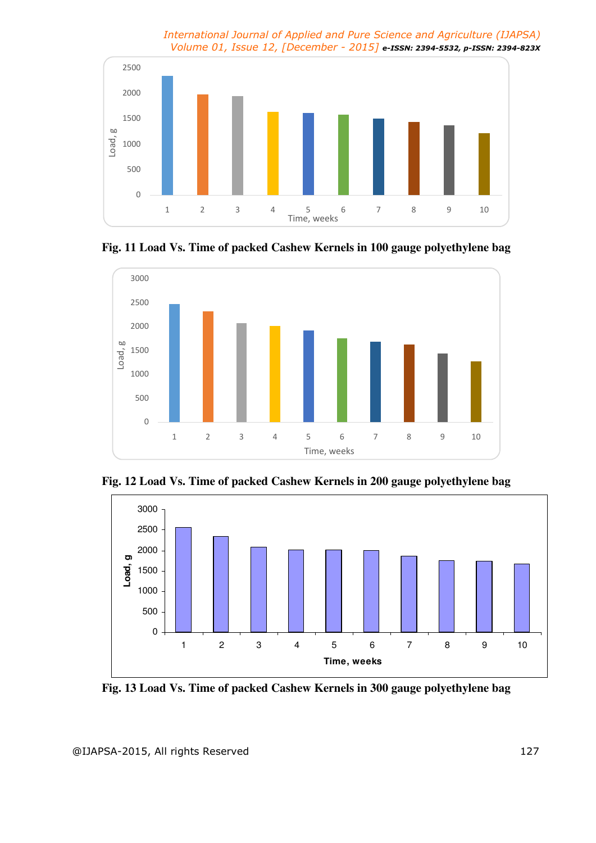









**Fig. 13 Load Vs. Time of packed Cashew Kernels in 300 gauge polyethylene bag**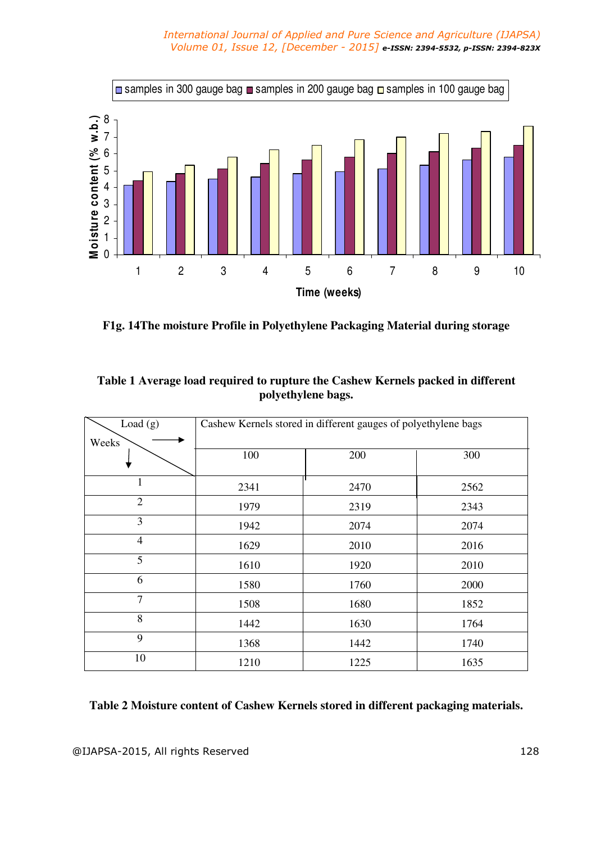

**F1g. 14The moisture Profile in Polyethylene Packaging Material during storage**

| Load $(g)$     |      | Cashew Kernels stored in different gauges of polyethylene bags |      |
|----------------|------|----------------------------------------------------------------|------|
| Weeks          | 100  | 200                                                            | 300  |
| 1              | 2341 | 2470                                                           | 2562 |
| 2              | 1979 | 2319                                                           | 2343 |
| 3              | 1942 | 2074                                                           | 2074 |
| $\overline{4}$ | 1629 | 2010                                                           | 2016 |
| 5              | 1610 | 1920                                                           | 2010 |
| 6              | 1580 | 1760                                                           | 2000 |
| $\overline{7}$ | 1508 | 1680                                                           | 1852 |
| 8              | 1442 | 1630                                                           | 1764 |
| 9              | 1368 | 1442                                                           | 1740 |
| 10             | 1210 | 1225                                                           | 1635 |

## **Table 1 Average load required to rupture the Cashew Kernels packed in different polyethylene bags.**

## **Table 2 Moisture content of Cashew Kernels stored in different packaging materials.**

@IJAPSA-2015, All rights Reserved 128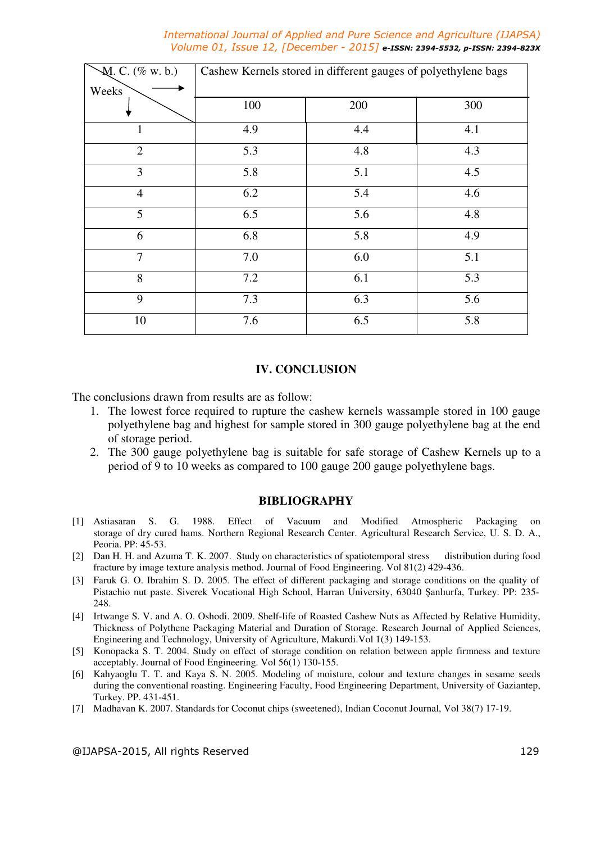| $M. C.$ (% w. b.) | Cashew Kernels stored in different gauges of polyethylene bags |     |     |
|-------------------|----------------------------------------------------------------|-----|-----|
| Weeks             |                                                                |     |     |
|                   | 100                                                            | 200 | 300 |
| 1                 | 4.9                                                            | 4.4 | 4.1 |
| $\overline{2}$    | 5.3                                                            | 4.8 | 4.3 |
| 3                 | 5.8                                                            | 5.1 | 4.5 |
| $\overline{4}$    | 6.2                                                            | 5.4 | 4.6 |
| 5                 | 6.5                                                            | 5.6 | 4.8 |
| 6                 | 6.8                                                            | 5.8 | 4.9 |
| $\overline{7}$    | 7.0                                                            | 6.0 | 5.1 |
| 8                 | 7.2                                                            | 6.1 | 5.3 |
| 9                 | 7.3                                                            | 6.3 | 5.6 |
| 10                | 7.6                                                            | 6.5 | 5.8 |

#### **IV. CONCLUSION**

The conclusions drawn from results are as follow:

- 1. The lowest force required to rupture the cashew kernels wassample stored in 100 gauge polyethylene bag and highest for sample stored in 300 gauge polyethylene bag at the end of storage period.
- 2. The 300 gauge polyethylene bag is suitable for safe storage of Cashew Kernels up to a period of 9 to 10 weeks as compared to 100 gauge 200 gauge polyethylene bags.

#### **BIBLIOGRAPHY**

- [1] Astiasaran S. G. 1988. Effect of Vacuum and Modified Atmospheric Packaging on storage of dry cured hams. Northern Regional Research Center. Agricultural Research Service, U. S. D. A., Peoria. PP: 45-53.
- [2] Dan H. H. and Azuma T. K. 2007. Study on characteristics of spatiotemporal stress distribution during food fracture by image texture analysis method. Journal of Food Engineering. Vol 81(2) 429-436.
- [3] Faruk G. O. Ibrahim S. D. 2005. The effect of different packaging and storage conditions on the quality of Pistachio nut paste. Siverek Vocational High School, Harran University, 63040 Şanlıurfa, Turkey. PP: 235- 248.
- [4] Irtwange S. V. and A. O. Oshodi. 2009. Shelf-life of Roasted Cashew Nuts as Affected by Relative Humidity, Thickness of Polythene Packaging Material and Duration of Storage. Research Journal of Applied Sciences, Engineering and Technology, University of Agriculture, Makurdi.Vol 1(3) 149-153.
- [5] Konopacka S. T. 2004. Study on effect of storage condition on relation between apple firmness and texture acceptably. Journal of Food Engineering. Vol 56(1) 130-155.
- [6] Kahyaoglu T. T. and Kaya S. N. 2005. Modeling of moisture, colour and texture changes in sesame seeds during the conventional roasting. Engineering Faculty, Food Engineering Department, University of Gaziantep, Turkey. PP. 431-451.
- [7] Madhavan K. 2007. Standards for Coconut chips (sweetened), Indian Coconut Journal, Vol 38(7) 17-19.

@IJAPSA-2015, All rights Reserved 129